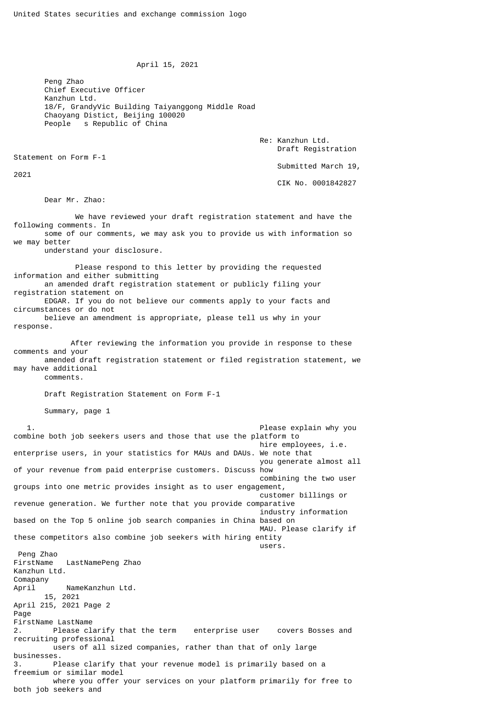April 15, 2021

 Peng Zhao Chief Executive Officer Kanzhun Ltd. 18/F, GrandyVic Building Taiyanggong Middle Road Chaoyang Distict, Beijing 100020 People s Republic of China

> Re: Kanzhun Ltd. Draft Registration

Statement on Form F-1

2021

 Submitted March 19, CIK No. 0001842827

Dear Mr. Zhao:

 We have reviewed your draft registration statement and have the following comments. In some of our comments, we may ask you to provide us with information so we may better understand your disclosure. Please respond to this letter by providing the requested information and either submitting an amended draft registration statement or publicly filing your registration statement on EDGAR. If you do not believe our comments apply to your facts and circumstances or do not

 believe an amendment is appropriate, please tell us why in your response.

 After reviewing the information you provide in response to these comments and your amended draft registration statement or filed registration statement, we may have additional comments.

Draft Registration Statement on Form F-1

Summary, page 1

 1. Please explain why you combine both job seekers users and those that use the platform to hire employees, i.e. enterprise users, in your statistics for MAUs and DAUs. We note that you generate almost all of your revenue from paid enterprise customers. Discuss how combining the two user groups into one metric provides insight as to user engagement, customer billings or revenue generation. We further note that you provide comparative industry information based on the Top 5 online job search companies in China based on MAU. Please clarify if these competitors also combine job seekers with hiring entity users. The contract of the contract of the contract of the contract of the contract of the contract of the contract of the contract of the contract of the contract of the contract of the contract of the contract of the con Peng Zhao FirstName LastNamePeng Zhao Kanzhun Ltd. Comapany April NameKanzhun Ltd. 15, 2021 April 215, 2021 Page 2 Page FirstName LastName 2. Please clarify that the term enterprise user covers Bosses and recruiting professional users of all sized companies, rather than that of only large businesses. 3. Please clarify that your revenue model is primarily based on a freemium or similar model where you offer your services on your platform primarily for free to both job seekers and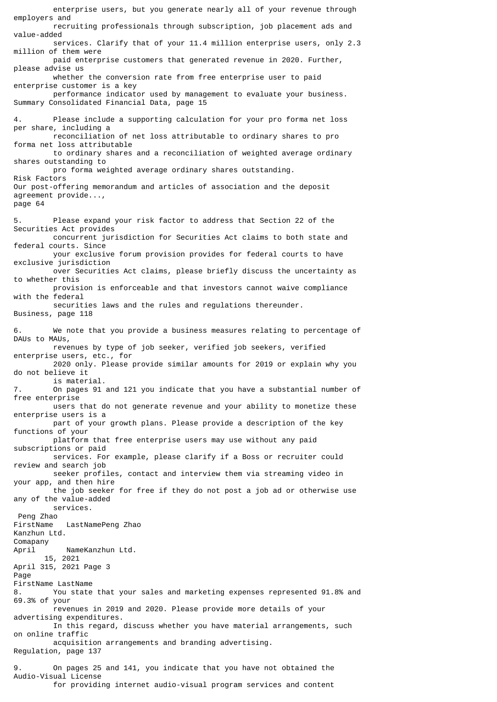enterprise users, but you generate nearly all of your revenue through employers and recruiting professionals through subscription, job placement ads and value-added services. Clarify that of your 11.4 million enterprise users, only 2.3 million of them were paid enterprise customers that generated revenue in 2020. Further, please advise us whether the conversion rate from free enterprise user to paid enterprise customer is a key performance indicator used by management to evaluate your business. Summary Consolidated Financial Data, page 15 4. Please include a supporting calculation for your pro forma net loss per share, including a reconciliation of net loss attributable to ordinary shares to pro forma net loss attributable to ordinary shares and a reconciliation of weighted average ordinary shares outstanding to pro forma weighted average ordinary shares outstanding. Risk Factors Our post-offering memorandum and articles of association and the deposit agreement provide..., page 64 5. Please expand your risk factor to address that Section 22 of the Securities Act provides concurrent jurisdiction for Securities Act claims to both state and federal courts. Since your exclusive forum provision provides for federal courts to have exclusive jurisdiction over Securities Act claims, please briefly discuss the uncertainty as to whether this provision is enforceable and that investors cannot waive compliance with the federal securities laws and the rules and regulations thereunder. Business, page 118 6. We note that you provide a business measures relating to percentage of DAUs to MAUs, revenues by type of job seeker, verified job seekers, verified enterprise users, etc., for 2020 only. Please provide similar amounts for 2019 or explain why you do not believe it is material. 7. On pages 91 and 121 you indicate that you have a substantial number of free enterprise users that do not generate revenue and your ability to monetize these enterprise users is a part of your growth plans. Please provide a description of the key functions of your platform that free enterprise users may use without any paid subscriptions or paid services. For example, please clarify if a Boss or recruiter could review and search job seeker profiles, contact and interview them via streaming video in your app, and then hire the job seeker for free if they do not post a job ad or otherwise use any of the value-added services. Peng Zhao<br>FirstName LastNamePeng Zhao Kanzhun Ltd. Comapany April NameKanzhun Ltd. 15, 2021 April 315, 2021 Page 3 Page FirstName LastName 8. You state that your sales and marketing expenses represented 91.8% and 69.3% of your revenues in 2019 and 2020. Please provide more details of your advertising expenditures. In this regard, discuss whether you have material arrangements, such on online traffic acquisition arrangements and branding advertising. Regulation, page 137 9. On pages 25 and 141, you indicate that you have not obtained the Audio-Visual License

for providing internet audio-visual program services and content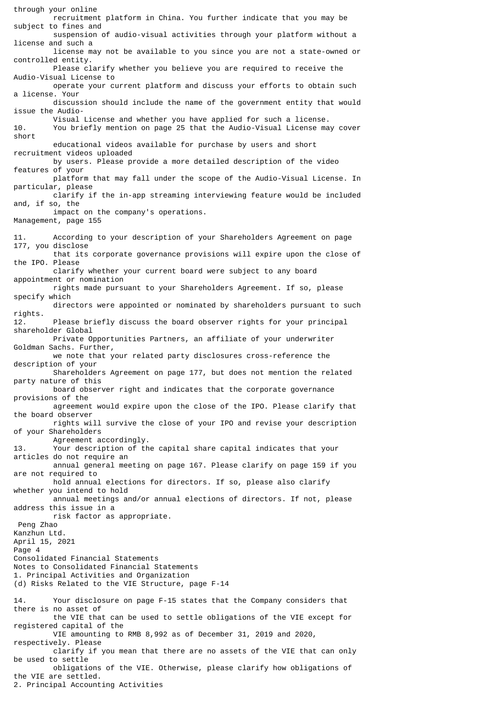through your online recruitment platform in China. You further indicate that you may be subject to fines and suspension of audio-visual activities through your platform without a license and such a license may not be available to you since you are not a state-owned or controlled entity. Please clarify whether you believe you are required to receive the Audio-Visual License to operate your current platform and discuss your efforts to obtain such a license. Your discussion should include the name of the government entity that would issue the Audio- Visual License and whether you have applied for such a license. 10. You briefly mention on page 25 that the Audio-Visual License may cover short educational videos available for purchase by users and short recruitment videos uploaded by users. Please provide a more detailed description of the video features of your platform that may fall under the scope of the Audio-Visual License. In particular, please clarify if the in-app streaming interviewing feature would be included and, if so, the impact on the company's operations. Management, page 155 11. According to your description of your Shareholders Agreement on page 177, you disclose that its corporate governance provisions will expire upon the close of the IPO. Please clarify whether your current board were subject to any board appointment or nomination rights made pursuant to your Shareholders Agreement. If so, please specify which directors were appointed or nominated by shareholders pursuant to such rights. 12. Please briefly discuss the board observer rights for your principal shareholder Global Private Opportunities Partners, an affiliate of your underwriter Goldman Sachs. Further, we note that your related party disclosures cross-reference the description of your Shareholders Agreement on page 177, but does not mention the related party nature of this board observer right and indicates that the corporate governance provisions of the agreement would expire upon the close of the IPO. Please clarify that the board observer rights will survive the close of your IPO and revise your description of your Shareholders Agreement accordingly. 13. Your description of the capital share capital indicates that your articles do not require an annual general meeting on page 167. Please clarify on page 159 if you are not required to hold annual elections for directors. If so, please also clarify whether you intend to hold annual meetings and/or annual elections of directors. If not, please address this issue in a risk factor as appropriate. Peng Zhao Kanzhun Ltd. April 15, 2021 Page 4 Consolidated Financial Statements Notes to Consolidated Financial Statements 1. Principal Activities and Organization (d) Risks Related to the VIE Structure, page F-14 14. Your disclosure on page F-15 states that the Company considers that there is no asset of the VIE that can be used to settle obligations of the VIE except for registered capital of the VIE amounting to RMB 8,992 as of December 31, 2019 and 2020, respectively. Please clarify if you mean that there are no assets of the VIE that can only be used to settle obligations of the VIE. Otherwise, please clarify how obligations of the VIE are settled. 2. Principal Accounting Activities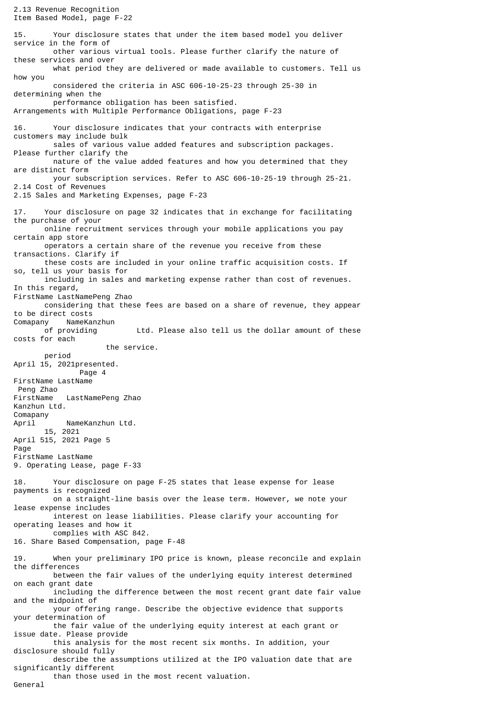2.13 Revenue Recognition Item Based Model, page F-22 15. Your disclosure states that under the item based model you deliver service in the form of other various virtual tools. Please further clarify the nature of these services and over what period they are delivered or made available to customers. Tell us how you considered the criteria in ASC 606-10-25-23 through 25-30 in determining when the performance obligation has been satisfied. Arrangements with Multiple Performance Obligations, page F-23 16. Your disclosure indicates that your contracts with enterprise customers may include bulk sales of various value added features and subscription packages. Please further clarify the nature of the value added features and how you determined that they are distinct form your subscription services. Refer to ASC 606-10-25-19 through 25-21. 2.14 Cost of Revenues 2.15 Sales and Marketing Expenses, page F-23 17. Your disclosure on page 32 indicates that in exchange for facilitating the purchase of your online recruitment services through your mobile applications you pay certain app store operators a certain share of the revenue you receive from these transactions. Clarify if these costs are included in your online traffic acquisition costs. If so, tell us your basis for including in sales and marketing expense rather than cost of revenues. In this regard, FirstName LastNamePeng Zhao considering that these fees are based on a share of revenue, they appear to be direct costs Comapany NameKanzhun<br>of providing Ltd. Please also tell us the dollar amount of these costs for each the service. period April 15, 2021presented. Page 4 FirstName LastName Peng Zhao<br>FirstName LastNamePeng Zhao Kanzhun Ltd. Comapany April NameKanzhun Ltd. 15, 2021 April 515, 2021 Page 5 Page FirstName LastName 9. Operating Lease, page F-33 18. Your disclosure on page F-25 states that lease expense for lease payments is recognized on a straight-line basis over the lease term. However, we note your lease expense includes interest on lease liabilities. Please clarify your accounting for operating leases and how it complies with ASC 842. 16. Share Based Compensation, page F-48 19. When your preliminary IPO price is known, please reconcile and explain the differences between the fair values of the underlying equity interest determined on each grant date including the difference between the most recent grant date fair value and the midpoint of your offering range. Describe the objective evidence that supports your determination of the fair value of the underlying equity interest at each grant or issue date. Please provide this analysis for the most recent six months. In addition, your disclosure should fully describe the assumptions utilized at the IPO valuation date that are significantly different than those used in the most recent valuation. General